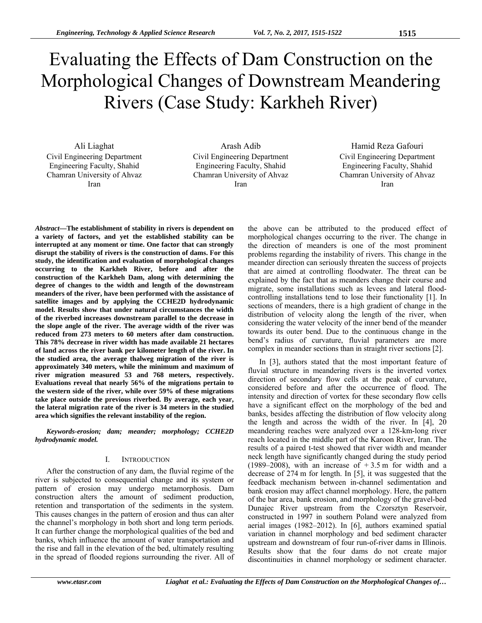# Evaluating the Effects of Dam Construction on the Morphological Changes of Downstream Meandering Rivers (Case Study: Karkheh River)

Ali Liaghat Civil Engineering Department Engineering Faculty, Shahid Chamran University of Ahvaz Iran

Arash Adib Civil Engineering Department Engineering Faculty, Shahid Chamran University of Ahvaz Iran

Hamid Reza Gafouri Civil Engineering Department Engineering Faculty, Shahid Chamran University of Ahvaz Iran

*Abstract***—The establishment of stability in rivers is dependent on a variety of factors, and yet the established stability can be interrupted at any moment or time. One factor that can strongly disrupt the stability of rivers is the construction of dams. For this study, the identification and evaluation of morphological changes occurring to the Karkheh River, before and after the construction of the Karkheh Dam, along with determining the degree of changes to the width and length of the downstream meanders of the river, have been performed with the assistance of satellite images and by applying the CCHE2D hydrodynamic model. Results show that under natural circumstances the width of the riverbed increases downstream parallel to the decrease in the slope angle of the river. The average width of the river was reduced from 273 meters to 60 meters after dam construction. This 78% decrease in river width has made available 21 hectares of land across the river bank per kilometer length of the river. In the studied area, the average thalweg migration of the river is approximately 340 meters, while the minimum and maximum of river migration measured 53 and 768 meters, respectively. Evaluations reveal that nearly 56% of the migrations pertain to the western side of the river, while over 59% of these migrations take place outside the previous riverbed. By average, each year, the lateral migration rate of the river is 34 meters in the studied area which signifies the relevant instability of the region.** 

*Keywords-erosion; dam; meander; morphology; CCHE2D hydrodynamic model.* 

## I. INTRODUCTION

After the construction of any dam, the fluvial regime of the river is subjected to consequential change and its system or pattern of erosion may undergo metamorphosis. Dam construction alters the amount of sediment production, retention and transportation of the sediments in the system. This causes changes in the pattern of erosion and thus can alter the channel's morphology in both short and long term periods. It can further change the morphological qualities of the bed and banks, which influence the amount of water transportation and the rise and fall in the elevation of the bed, ultimately resulting in the spread of flooded regions surrounding the river. All of the above can be attributed to the produced effect of morphological changes occurring to the river. The change in the direction of meanders is one of the most prominent problems regarding the instability of rivers. This change in the meander direction can seriously threaten the success of projects that are aimed at controlling floodwater. The threat can be explained by the fact that as meanders change their course and migrate, some installations such as levees and lateral floodcontrolling installations tend to lose their functionality [1]. In sections of meanders, there is a high gradient of change in the distribution of velocity along the length of the river, when considering the water velocity of the inner bend of the meander towards its outer bend. Due to the continuous change in the bend's radius of curvature, fluvial parameters are more complex in meander sections than in straight river sections [2].

In [3], authors stated that the most important feature of fluvial structure in meandering rivers is the inverted vortex direction of secondary flow cells at the peak of curvature, considered before and after the occurrence of flood. The intensity and direction of vortex for these secondary flow cells have a significant effect on the morphology of the bed and banks, besides affecting the distribution of flow velocity along the length and across the width of the river. In [4], 20 meandering reaches were analyzed over a 128-km-long river reach located in the middle part of the Karoon River, Iran. The results of a paired t-test showed that river width and meander neck length have significantly changed during the study period (1989–2008), with an increase of  $+3.5$  m for width and a decrease of 274 m for length. In [5], it was suggested that the feedback mechanism between in-channel sedimentation and bank erosion may affect channel morphology. Here, the pattern of the bar area, bank erosion, and morphology of the gravel-bed Dunajec River upstream from the Czorsztyn Reservoir, constructed in 1997 in southern Poland were analyzed from aerial images (1982–2012). In [6], authors examined spatial variation in channel morphology and bed sediment character upstream and downstream of four run-of-river dams in Illinois. Results show that the four dams do not create major discontinuities in channel morphology or sediment character.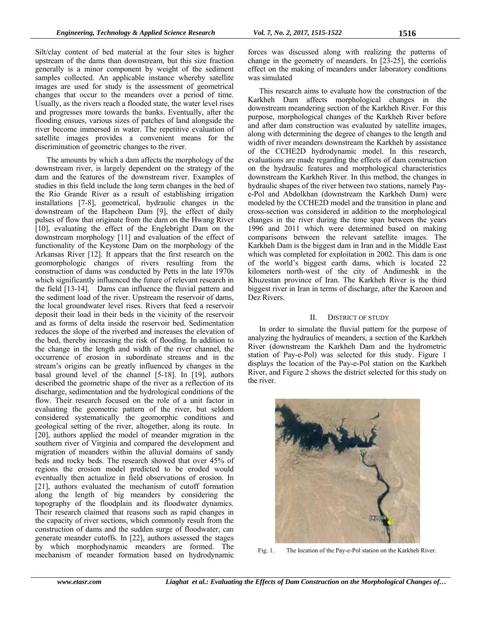Silt/clay content of bed material at the four sites is higher upstream of the dams than downstream, but this size fraction generally is a minor component by weight of the sediment samples collected. An applicable instance whereby satellite images are used for study is the assessment of geometrical changes that occur to the meanders over a period of time. Usually, as the rivers reach a flooded state, the water level rises and progresses more towards the banks. Eventually, after the flooding ensues, various sizes of patches of land alongside the river become immersed in water. The repetitive evaluation of satellite images provides a convenient means for the discrimination of geometric changes to the river.

The amounts by which a dam affects the morphology of the downstream river, is largely dependent on the strategy of the dam and the features of the downstream river. Examples of studies in this field include the long term changes in the bed of the Rio Grande River as a result of establishing irrigation installations [7-8], geometrical, hydraulic changes in the downstream of the Hapcheon Dam [9], the effect of daily pulses of flow that originate from the dam on the Hwang River [10], evaluating the effect of the Englebright Dam on the downstream morphology [11] and evaluation of the effect of functionality of the Keystone Dam on the morphology of the Arkansas River [12]. It appears that the first research on the geomorphologic changes of rivers resulting from the construction of dams was conducted by Petts in the late 1970s which significantly influenced the future of relevant research in the field [13-14]. Dams can influence the fluvial pattern and the sediment load of the river. Upstream the reservoir of dams, the local groundwater level rises. Rivers that feed a reservoir deposit their load in their beds in the vicinity of the reservoir and as forms of delta inside the reservoir bed. Sedimentation reduces the slope of the riverbed and increases the elevation of the bed, thereby increasing the risk of flooding. In addition to the change in the length and width of the river channel, the occurrence of erosion in subordinate streams and in the stream's origins can be greatly influenced by changes in the basal ground level of the channel [5-18]. In [19], authors described the geometric shape of the river as a reflection of its discharge, sedimentation and the hydrological conditions of the flow. Their research focused on the role of a unit factor in evaluating the geometric pattern of the river, but seldom considered systematically the geomorphic conditions and geological setting of the river, altogether, along its route. In [20], authors applied the model of meander migration in the southern river of Virginia and compared the development and migration of meanders within the alluvial domains of sandy beds and rocky beds. The research showed that over 45% of regions the erosion model predicted to be eroded would eventually then actualize in field observations of erosion. In [21], authors evaluated the mechanism of cutoff formation along the length of big meanders by considering the topography of the floodplain and its floodwater dynamics. Their research claimed that reasons such as rapid changes in the capacity of river sections, which commonly result from the construction of dams and the sudden surge of floodwater, can generate meander cutoffs. In [22], authors assessed the stages by which morphodynamic meanders are formed. The mechanism of meander formation based on hydrodynamic

forces was discussed along with realizing the patterns of change in the geometry of meanders. In [23-25], the corriolis effect on the making of meanders under laboratory conditions was simulated

This research aims to evaluate how the construction of the Karkheh Dam affects morphological changes in the downstream meandering section of the Karkheh River. For this purpose, morphological changes of the Karkheh River before and after dam construction was evaluated by satellite images, along with determining the degree of changes to the length and width of river meanders downstream the Karkheh by assistance of the CCHE2D hydrodynamic model. In this research, evaluations are made regarding the effects of dam construction on the hydraulic features and morphological characteristics downstream the Karkheh River. In this method, the changes in hydraulic shapes of the river between two stations, namely Paye-Pol and Abdolkhan (downstream the Karkheh Dam) were modeled by the CCHE2D model and the transition in plane and cross-section was considered in addition to the morphological changes in the river during the time span between the years 1996 and 2011 which were determined based on making comparisons between the relevant satellite images. The Karkheh Dam is the biggest dam in Iran and in the Middle East which was completed for exploitation in 2002. This dam is one of the world's biggest earth dams, which is located 22 kilometers north-west of the city of Andimeshk in the Khuzestan province of Iran. The Karkheh River is the third biggest river in Iran in terms of discharge, after the Karoon and Dez Rivers.

### II. DISTRICT OF STUDY

In order to simulate the fluvial pattern for the purpose of analyzing the hydraulics of meanders, a section of the Karkheh River (downstream the Karkheh Dam and the hydrometric station of Pay-e-Pol) was selected for this study. Figure 1 displays the location of the Pay-e-Pol station on the Karkheh River, and Figure 2 shows the district selected for this study on the river.



Fig. 1. The location of the Pay-e-Pol station on the Karkheh River.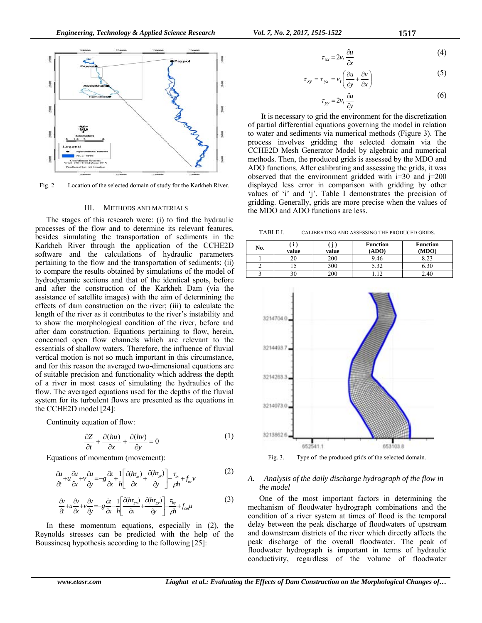

Fig. 2. Location of the selected domain of study for the Karkheh River.

#### III. METHODS AND MATERIALS

The stages of this research were: (i) to find the hydraulic processes of the flow and to determine its relevant features, besides simulating the transportation of sediments in the Karkheh River through the application of the CCHE2D software and the calculations of hydraulic parameters pertaining to the flow and the transportation of sediments; (ii) to compare the results obtained by simulations of the model of hydrodynamic sections and that of the identical spots, before and after the construction of the Karkheh Dam (via the assistance of satellite images) with the aim of determining the effects of dam construction on the river; (iii) to calculate the length of the river as it contributes to the river's instability and to show the morphological condition of the river, before and after dam construction. Equations pertaining to flow, herein, concerned open flow channels which are relevant to the essentials of shallow waters. Therefore, the influence of fluvial vertical motion is not so much important in this circumstance, and for this reason the averaged two-dimensional equations are of suitable precision and functionality which address the depth of a river in most cases of simulating the hydraulics of the flow. The averaged equations used for the depths of the fluvial system for its turbulent flows are presented as the equations in the CCHE2D model [24]:

Continuity equation of flow:

$$
\frac{\partial Z}{\partial t} + \frac{\partial (hu)}{\partial x} + \frac{\partial (hv)}{\partial y} = 0
$$
 (1)

Equations of momentum (movement):

$$
\frac{\partial u}{\partial t} + u \frac{\partial u}{\partial x} + v \frac{\partial u}{\partial y} = -g \frac{\partial z}{\partial x} + \frac{1}{h} \left[ \frac{\partial (h r_{\rm w})}{\partial x} + \frac{\partial (h r_{\rm w})}{\partial y} \right] - \frac{\tau_{\rm w}}{\rho h} + f_{\alpha r} v \tag{2}
$$

$$
\frac{\partial}{\partial t} + u \frac{\partial}{\partial x} + v \frac{\partial}{\partial y} = -g \frac{\partial}{\partial x} + h \left[ \frac{\partial (h \tau_{yx})}{\partial x} + \frac{\partial (h \tau_{yy})}{\partial y} \right] - \frac{\tau_{by}}{\rho h} + f_{co} \mu
$$
\n(3)

In these momentum equations, especially in (2), the Reynolds stresses can be predicted with the help of the Boussinesq hypothesis according to the following [25]:

$$
\tau_{xx} = 2v_t \frac{\partial u}{\partial x} \tag{4}
$$

$$
\tau_{xy} = \tau_{yx} = v_t \left( \frac{\partial u}{\partial y} + \frac{\partial v}{\partial x} \right)
$$
 (5)

$$
\tau_{yy} = 2v_t \frac{\partial u}{\partial y} \tag{6}
$$

 It is necessary to grid the environment for the discretization of partial differential equations governing the model in relation to water and sediments via numerical methods (Figure 3). The process involves gridding the selected domain via the CCHE2D Mesh Generator Model by algebraic and numerical methods. Then, the produced grids is assessed by the MDO and ADO functions. After calibrating and assessing the grids, it was observed that the environment gridded with  $i=30$  and  $j=200$ displayed less error in comparison with gridding by other values of 'i' and 'j'. Table I demonstrates the precision of gridding. Generally, grids are more precise when the values of the MDO and ADO functions are less.

TABLE I. CALIBRATING AND ASSESSING THE PRODUCED GRIDS.

| No. | 1.<br>value | J<br>value | <b>Function</b><br>(ADO) | <b>Function</b><br>(MDO) |
|-----|-------------|------------|--------------------------|--------------------------|
|     | 20          | 200        | 9.46                     | o າ າ                    |
|     |             | 300        | .32                      |                          |
|     | 30          | 200        |                          | 2.40                     |



Fig. 3. Type of the produced grids of the selected domain.

## *A. Analysis of the daily discharge hydrograph of the flow in the model*

One of the most important factors in determining the mechanism of floodwater hydrograph combinations and the condition of a river system at times of flood is the temporal delay between the peak discharge of floodwaters of upstream and downstream districts of the river which directly affects the peak discharge of the overall floodwater. The peak of floodwater hydrograph is important in terms of hydraulic conductivity, regardless of the volume of floodwater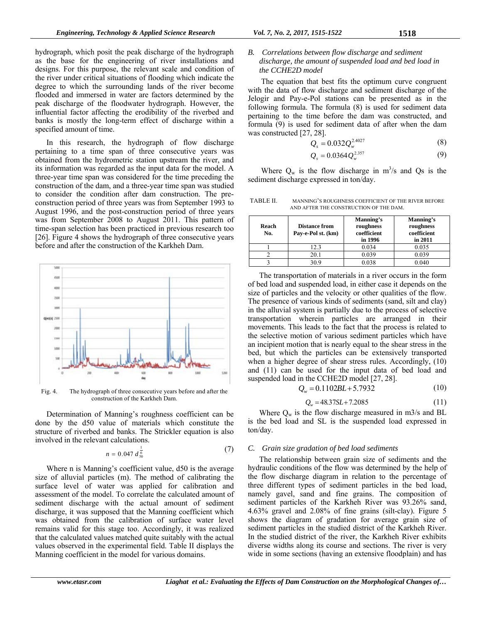hydrograph, which posit the peak discharge of the hydrograph as the base for the engineering of river installations and designs. For this purpose, the relevant scale and condition of the river under critical situations of flooding which indicate the degree to which the surrounding lands of the river become flooded and immersed in water are factors determined by the peak discharge of the floodwater hydrograph. However, the influential factor affecting the erodibility of the riverbed and banks is mostly the long-term effect of discharge within a specified amount of time.

In this research, the hydrograph of flow discharge pertaining to a time span of three consecutive years was obtained from the hydrometric station upstream the river, and its information was regarded as the input data for the model. A three-year time span was considered for the time preceding the construction of the dam, and a three-year time span was studied to consider the condition after dam construction. The preconstruction period of three years was from September 1993 to August 1996, and the post-construction period of three years was from September 2008 to August 2011. This pattern of time-span selection has been practiced in previous research too [26]. Figure 4 shows the hydrograph of three consecutive years before and after the construction of the Karkheh Dam.



Fig. 4. The hydrograph of three consecutive years before and after the construction of the Karkheh Dam.

Determination of Manning's roughness coefficient can be done by the d50 value of materials which constitute the structure of riverbed and banks. The Strickler equation is also involved in the relevant calculations.

$$
n = 0.047 d_{50}^{\frac{1}{6}}
$$
 (7)

Where n is Manning's coefficient value, d50 is the average size of alluvial particles (m). The method of calibrating the surface level of water was applied for calibration and assessment of the model. To correlate the calculated amount of sediment discharge with the actual amount of sediment discharge, it was supposed that the Manning coefficient which was obtained from the calibration of surface water level remains valid for this stage too. Accordingly, it was realized that the calculated values matched quite suitably with the actual values observed in the experimental field. Table II displays the Manning coefficient in the model for various domains.

## *B. Correlations between flow discharge and sediment discharge, the amount of suspended load and bed load in the CCHE2D model*

 The equation that best fits the optimum curve congruent with the data of flow discharge and sediment discharge of the Jelogir and Pay-e-Pol stations can be presented as in the following formula. The formula (8) is used for sediment data pertaining to the time before the dam was constructed, and formula (9) is used for sediment data of after when the dam was constructed [27, 28].

$$
Q_{s} = 0.032 Q_{w}^{2.4027}
$$
 (8)

$$
Q_s = 0.0364 Q_w^{2.357}
$$
 (9)

Where  $Q_w$  is the flow discharge in  $m^3/s$  and Qs is the sediment discharge expressed in ton/day.

TABLE II. MANNING'S ROUGHNESS COEFFICIENT OF THE RIVER BEFORE AND AFTER THE CONSTRUCTION OF THE DAM.

| Reach<br>No. | Distance from<br>Pay-e-Pol st. (km) | Manning's<br>roughness<br>coefficient<br>in 1996 | <b>Manning's</b><br>roughness<br>coefficient<br>in 2011 |
|--------------|-------------------------------------|--------------------------------------------------|---------------------------------------------------------|
|              | 12.3                                | 0.034                                            | 0.035                                                   |
|              | 20.1                                | 0.039                                            | 0.039                                                   |
|              | 30.9                                | 0.038                                            | 0.040                                                   |

The transportation of materials in a river occurs in the form of bed load and suspended load, in either case it depends on the size of particles and the velocity or other qualities of the flow. The presence of various kinds of sediments (sand, silt and clay) in the alluvial system is partially due to the process of selective transportation wherein particles are arranged in their movements. This leads to the fact that the process is related to the selective motion of various sediment particles which have an incipient motion that is nearly equal to the shear stress in the bed, but which the particles can be extensively transported when a higher degree of shear stress rules. Accordingly, (10) and (11) can be used for the input data of bed load and suspended load in the CCHE2D model [27, 28].

$$
Q_w = 0.1102BL + 5.7932\tag{10}
$$

$$
Q_w = 48.37SL + 7.2085\tag{11}
$$

Where  $Q_w$  is the flow discharge measured in m3/s and BL is the bed load and SL is the suspended load expressed in ton/day.

# *C. Grain size gradation of bed load sediments*

The relationship between grain size of sediments and the hydraulic conditions of the flow was determined by the help of the flow discharge diagram in relation to the percentage of three different types of sediment particles in the bed load, namely gavel, sand and fine grains. The composition of sediment particles of the Karkheh River was 93.26% sand, 4.63% gravel and 2.08% of fine grains (silt-clay). Figure  $\frac{2.08}{3}$ shows the diagram of gradation for average grain size of sediment particles in the studied district of the Karkheh River. In the studied district of the river, the Karkheh River exhibits diverse widths along its course and sections. The river is very wide in some sections (having an extensive floodplain) and has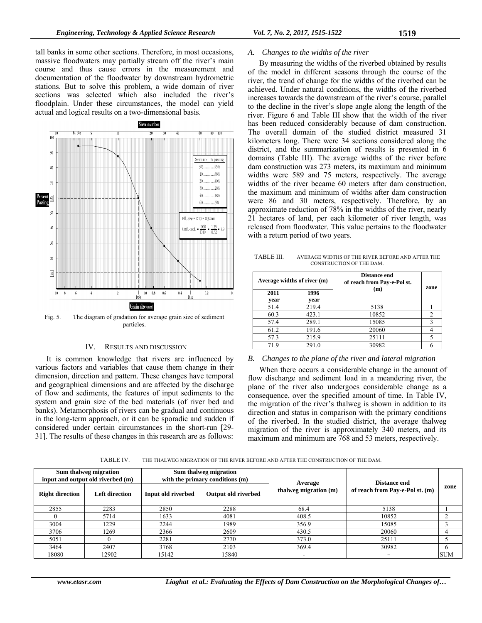tall banks in some other sections. Therefore, in most occasions, massive floodwaters may partially stream off the river's main course and thus cause errors in the measurement and documentation of the floodwater by downstream hydrometric stations. But to solve this problem, a wide domain of river sections was selected which also included the river's floodplain. Under these circumstances, the model can yield actual and logical results on a two-dimensional basis.



Fig. 5. The diagram of gradation for average grain size of sediment particles.

### IV. RESULTS AND DISCUSSION

It is common knowledge that rivers are influenced by various factors and variables that cause them change in their dimension, direction and pattern. These changes have temporal and geographical dimensions and are affected by the discharge of flow and sediments, the features of input sediments to the system and grain size of the bed materials (of river bed and banks). Metamorphosis of rivers can be gradual and continuous in the long-term approach, or it can be sporadic and sudden if considered under certain circumstances in the short-run [29- 31]. The results of these changes in this research are as follows:

## *A. Changes to the widths of the river*

By measuring the widths of the riverbed obtained by results of the model in different seasons through the course of the river, the trend of change for the widths of the riverbed can be achieved. Under natural conditions, the widths of the riverbed increases towards the downstream of the river's course, parallel to the decline in the river's slope angle along the length of the river. Figure 6 and Table III show that the width of the river has been reduced considerably because of dam construction. The overall domain of the studied district measured 31 kilometers long. There were 34 sections considered along the district, and the summarization of results is presented in 6 domains (Table III). The average widths of the river before dam construction was 273 meters, its maximum and minimum widths were 589 and 75 meters, respectively. The average widths of the river became 60 meters after dam construction, the maximum and minimum of widths after dam construction were 86 and 30 meters, respectively. Therefore, by an approximate reduction of 78% in the widths of the river, nearly 21 hectares of land, per each kilometer of river length, was released from floodwater. This value pertains to the floodwater with a return period of two years.

TABLE III. AVERAGE WIDTHS OF THE RIVER BEFORE AND AFTER THE CONSTRUCTION OF THE DAM.

| Average widths of river (m) |              | Distance end<br>of reach from Pay-e-Pol st.<br>(m) | zone           |
|-----------------------------|--------------|----------------------------------------------------|----------------|
| 2011<br>vear                | 1996<br>vear |                                                    |                |
| 51.4                        | 219.4        | 5138                                               |                |
| 60.3                        | 423.1        | 10852                                              | $\overline{c}$ |
| 57.4                        | 289.1        | 15085                                              |                |
| 61.2                        | 191.6        | 20060                                              |                |
| 57.3                        | 215.9        | 25111                                              |                |
| 719                         | 291.0        | 30982                                              |                |

### *B. Changes to the plane of the river and lateral migration*

When there occurs a considerable change in the amount of flow discharge and sediment load in a meandering river, the plane of the river also undergoes considerable change as a consequence, over the specified amount of time. In Table IV, the migration of the river's thalweg is shown in addition to its direction and status in comparison with the primary conditions of the riverbed. In the studied district, the average thalweg migration of the river is approximately 340 meters, and its maximum and minimum are 768 and 53 meters, respectively.

TABLE IV. THE THALWEG MIGRATION OF THE RIVER BEFORE AND AFTER THE CONSTRUCTION OF THE DAM.

| Sum thalweg migration<br>input and output old riverbed (m) |                       | Sum thalweg migration<br>with the primary conditions $(m)$ |                     |                                  | Distance end                    |            |
|------------------------------------------------------------|-----------------------|------------------------------------------------------------|---------------------|----------------------------------|---------------------------------|------------|
| <b>Right direction</b>                                     | <b>Left direction</b> | Input old riverbed                                         | Output old riverbed | Average<br>thalweg migration (m) | of reach from Pay-e-Pol st. (m) | zone       |
| 2855                                                       | 2283                  | 2850                                                       | 2288                | 68.4                             | 5138                            |            |
|                                                            | 5714                  | 1633                                                       | 4081                | 408.5                            | 10852                           |            |
| 3004                                                       | 1229                  | 2244                                                       | 1989                | 356.9                            | 15085                           |            |
| 3706                                                       | 1269                  | 2366                                                       | 2609                | 430.5                            | 20060                           |            |
| 5051                                                       |                       | 2281                                                       | 2770                | 373.0                            | 25111                           |            |
| 3464                                                       | 2407                  | 3768                                                       | 2103                | 369.4                            | 30982                           |            |
| 18080                                                      | 12902                 | 15142                                                      | 15840               | -                                |                                 | <b>SUM</b> |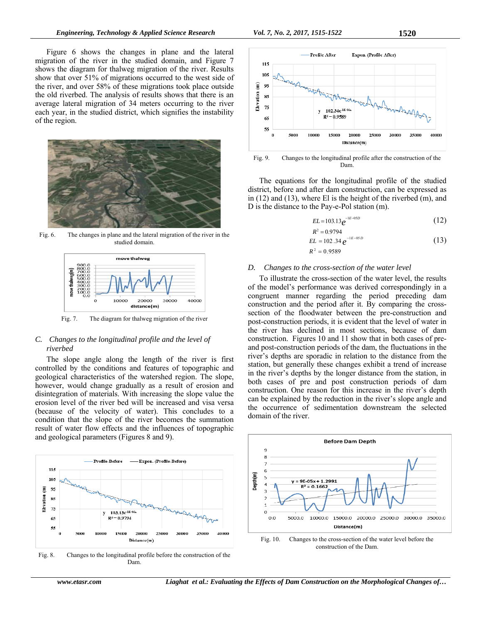Figure 6 shows the changes in plane and the lateral migration of the river in the studied domain, and Figure 7 shows the diagram for thalweg migration of the river. Results show that over 51% of migrations occurred to the west side of the river, and over 58% of these migrations took place outside the old riverbed. The analysis of results shows that there is an average lateral migration of 34 meters occurring to the river each year, in the studied district, which signifies the instability of the region.



Fig. 6. The changes in plane and the lateral migration of the river in the studied domain.



Fig. 7. The diagram for thalweg migration of the river

## *C. Changes to the longitudinal profile and the level of riverbed*

The slope angle along the length of the river is first controlled by the conditions and features of topographic and geological characteristics of the watershed region. The slope, however, would change gradually as a result of erosion and disintegration of materials. With increasing the slope value the erosion level of the river bed will be increased and visa versa (because of the velocity of water). This concludes to a condition that the slope of the river becomes the summation result of water flow effects and the influences of topographic and geological parameters (Figures 8 and 9).



Fig. 8. Changes to the longitudinal profile before the construction of the Dam.



Fig. 9. Changes to the longitudinal profile after the construction of the Dam.

The equations for the longitudinal profile of the studied district, before and after dam construction, can be expressed as in (12) and (13), where El is the height of the riverbed (m), and D is the distance to the Pay-e-Pol station (m).

$$
EL = 103.13 e^{-1E - 05D}
$$
 (12)

$$
R^2 = 0.9794
$$
  
EL = 102.34  $e^{-1E-05D}$  (13)

 $R^2 = 0.9589$ 

#### *D. Changes to the cross-section of the water level*

To illustrate the cross-section of the water level, the results of the model's performance was derived correspondingly in a congruent manner regarding the period preceding dam construction and the period after it. By comparing the crosssection of the floodwater between the pre-construction and post-construction periods, it is evident that the level of water in the river has declined in most sections, because of dam construction. Figures 10 and 11 show that in both cases of preand post-construction periods of the dam, the fluctuations in the river's depths are sporadic in relation to the distance from the station, but generally these changes exhibit a trend of increase in the river's depths by the longer distance from the station, in both cases of pre and post construction periods of dam construction. One reason for this increase in the river's depth can be explained by the reduction in the river's slope angle and the occurrence of sedimentation downstream the selected domain of the river.



Fig. 10. Changes to the cross-section of the water level before the construction of the Dam.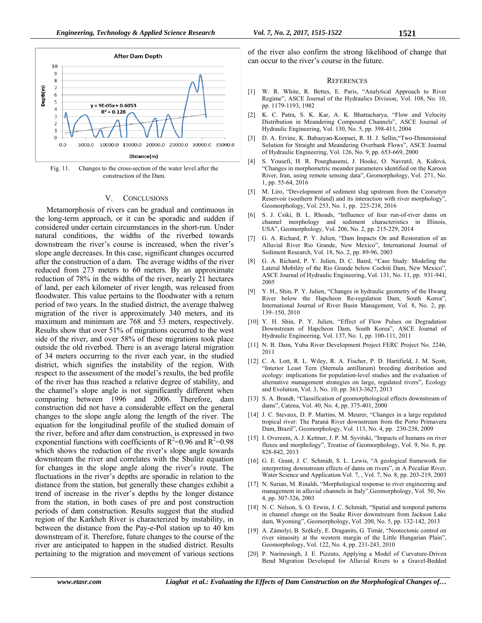

Fig. 11. Changes to the cross-section of the water level after the construction of the Dam.

#### V. CONCLUSIONS

Metamorphosis of rivers can be gradual and continuous in the long-term approach, or it can be sporadic and sudden if considered under certain circumstances in the short-run. Under natural conditions, the widths of the riverbed towards downstream the river's course is increased, when the river's slope angle decreases. In this case, significant changes occurred after the construction of a dam. The average widths of the river reduced from 273 meters to 60 meters. By an approximate reduction of 78% in the widths of the river, nearly 21 hectares of land, per each kilometer of river length, was released from floodwater. This value pertains to the floodwater with a return period of two years. In the studied district, the average thalweg migration of the river is approximately 340 meters, and its maximum and minimum are 768 and 53 meters, respectively. Results show that over 51% of migrations occurred to the west side of the river, and over 58% of these migrations took place outside the old riverbed. There is an average lateral migration of 34 meters occurring to the river each year, in the studied district, which signifies the instability of the region. With respect to the assessment of the model's results, the bed profile of the river has thus reached a relative degree of stability, and the channel's slope angle is not significantly different when comparing between 1996 and 2006. Therefore, dam construction did not have a considerable effect on the general changes to the slope angle along the length of the river. The equation for the longitudinal profile of the studied domain of the river, before and after dam construction, is expressed in two exponential functions with coefficients of  $R^2=0.96$  and  $R^2=0.98$ which shows the reduction of the river's slope angle towards downstream the river and correlates with the Shulitz equation for changes in the slope angle along the river's route. The fluctuations in the river's depths are sporadic in relation to the distance from the station, but generally these changes exhibit a trend of increase in the river's depths by the longer distance from the station, in both cases of pre and post construction periods of dam construction. Results suggest that the studied region of the Karkheh River is characterized by instability, in between the distance from the Pay-e-Pol station up to 40 km downstream of it. Therefore, future changes to the course of the river are anticipated to happen in the studied district. Results pertaining to the migration and movement of various sections

of the river also confirm the strong likelihood of change that can occur to the river's course in the future.

#### **REFERENCES**

- [1] W. R. White, R. Bettes, E. Paris, "Analytical Approach to River Regime", ASCE Journal of the Hydraulics Division, Vol. 108, No. 10, pp. 1179-1193, 1982
- [2] K. C. Patra, S. K. Kar, A. K. Bhattacharya, "Flow and Velocity Distribution in Meandering Compound Channels", ASCE Journal of Hydraulic Engineering, Vol. 130, No. 5, pp. 398-411, 2004
- [3] D. A. Ervine, K. Babaeyan-Koopaei, R. H. J. Sellin,"Two-Dimensional Solution for Straight and Meandering Overbank Flows", ASCE Journal of Hydraulic Engineering, Vol. 126, No. 9, pp. 653-669, 2000
- [4] S. Yousefi, H. R. Pourghasemi, J. Hooke, O. Navratil, A. Kidová, "Changes in morphometric meander parameters identified on the Karoon River, Iran, using remote sensing data", Geomorphology, Vol. 271, No. 1, pp. 55-64, 2016
- [5] M. Liro, "Development of sediment slug upstream from the Czorsztyn Reservoir (southern Poland) and its interaction with river morphology", Geomorphology, Vol. 253, No. 1, pp. 225-238, 2016
- [6] S. J. Csiki, B. L. Rhoads, "Influence of four run-of-river dams on channel morphology and sediment characteristics in Illinois, USA", Geomorphology, Vol. 206, No. 2, pp. 215-229, 2014
- [7] G. A. Richard, P. Y. Julien, "Dam Impacts On and Restoration of an Alluvial River Rio Grande, New Mexico", International Journal of Sediment Research, Vol. 18, No. 2, pp. 89-96, 2003
- [8] G. A. Richard, P. Y. Julien, D. C. Baird, "Case Study: Modeling the Lateral Mobility of the Rio Grande below Cochiti Dam, New Mexico", ASCE Journal of Hydraulic Engineering, Vol. 131, No. 11, pp. 931-941, 2005
- [9] Y. H., Shin, P. Y. Julien, "Changes in hydraulic geometry of the Hwang River below the Hapcheon Re-regulation Dam, South Korea", International Journal of River Basin Management, Vol. 8, No. 2, pp. 139–150, 2010
- [10] Y. H. Shin, P. Y. Julien, "Effect of Flow Pulses on Degradation Downstream of Hapcheon Dam, South Korea", ASCE Journal of Hydraulic Engineering, Vol. 137, No. 1, pp. 100-111, 2011
- [11] N. B. Dam, Yuba River Development Project FERC Project No. 2246, 2011
- [12] C. A. Lott, R. L. Wiley, R. A. Fischer, P. D. Hartifield, J. M. Scott, "Interior Least Tern (Sternula antillarum) breeding distribution and ecology: implications for population-level studies and the evaluation of alternative management strategies on large, regulated rivers", Ecology and Evolution, Vol. 3, No. 10, pp. 3613-3627, 2013
- [13] S. A. Brandt, "Classification of geomorphological effects downstream of dams", Catena, Vol. 40, No. 4, pp. 375-401, 2000
- [14] J. C. Stevaux, D. P. Martins, M. Meurer, "Changes in a large regulated tropical river: The Paraná River downstream from the Porto Primavera Dam, Brazil", Geomorphology, Vol. 113, No. 4, pp. 230-238, 2009
- [15] I. Overeem, A. J. Kettner, J. P. M. Syvitski, "Impacts of humans on river fluxes and morphology", Treatise of Geomorphology, Vol. 9, No. 8, pp. 828-842, 2013
- [16] G. E. Grant, J. C. Schmidt, S. L. Lewis, "A geological framework for interpreting downstream effects of dams on rivers", in A Peculiar River, Water Science and Application Vol. 7, , Vol. 7, No. 8, pp. 203-219, 2003
- [17] N. Surian, M. Rinaldi, "Morphological response to river engineering and management in alluvial channels in Italy",Geomorphology, Vol. 50, No. 4, pp. 307-326, 2003
- [18] N. C. Nelson, S. O. Erwin, J. C. Schmidt, "Spatial and temporal patterns in channel change on the Snake River downstream from Jackson Lake dam, Wyoming", Geomorphology, Vol. 200, No. 5, pp. 132-142, 2013
- [19] A. Zámolyi, B. Szĕkely, E. Draganits, G. Timár, "Neotectonic control on river sinuosity at the western margin of the Little Hungarian Plain", Geomorphology, Vol. 122, No. 4, pp. 231-243, 2010
- [20] P. Narinesingh, J. E. Pizzuto, Applying a Model of Curvature-Driven Bend Migration Developed for Alluvial Rivers to a Gravel-Bedded